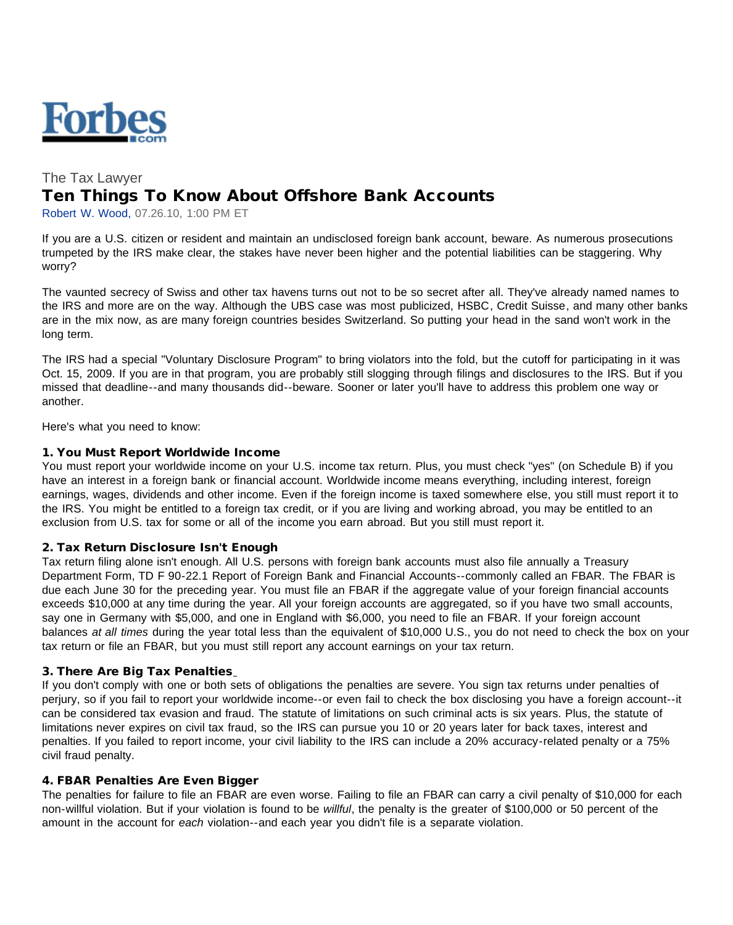

# The Tax Lawyer Ten Things To Know About Offshore Bank Accounts

Robert W. Wood, 07.26.10, 1:00 PM ET

If you are a U.S. citizen or resident and maintain an undisclosed foreign bank account, beware. As numerous prosecutions trumpeted by the IRS make clear, the stakes have never been higher and the potential liabilities can be staggering. Why worry?

The vaunted secrecy of Swiss and other tax havens turns out not to be so secret after all. They've already named names to the IRS and more are on the way. Although the UBS case was most publicized, HSBC, Credit Suisse, and many other banks are in the mix now, as are many foreign countries besides Switzerland. So putting your head in the sand won't work in the long term.

The IRS had a special "Voluntary Disclosure Program" to bring violators into the fold, but the cutoff for participating in it was Oct. 15, 2009. If you are in that program, you are probably still slogging through filings and disclosures to the IRS. But if you missed that deadline--and many thousands did--beware. Sooner or later you'll have to address this problem one way or another.

Here's what you need to know:

#### 1. You Must Report Worldwide Income

You must report your worldwide income on your U.S. income tax return. Plus, you must check "yes" (on Schedule B) if you have an interest in a foreign bank or financial account. Worldwide income means everything, including interest, foreign earnings, wages, dividends and other income. Even if the foreign income is taxed somewhere else, you still must report it to the IRS. You might be entitled to a foreign tax credit, or if you are living and working abroad, you may be entitled to an exclusion from U.S. tax for some or all of the income you earn abroad. But you still must report it.

# 2. Tax Return Disclosure Isn't Enough

Tax return filing alone isn't enough. All U.S. persons with foreign bank accounts must also file annually a Treasury Department Form, TD F 90-22.1 Report of Foreign Bank and Financial Accounts--commonly called an FBAR. The FBAR is due each June 30 for the preceding year. You must file an FBAR if the aggregate value of your foreign financial accounts exceeds \$10,000 at any time during the year. All your foreign accounts are aggregated, so if you have two small accounts, say one in Germany with \$5,000, and one in England with \$6,000, you need to file an FBAR. If your foreign account balances *at all times* during the year total less than the equivalent of \$10,000 U.S., you do not need to check the box on your tax return or file an FBAR, but you must still report any account earnings on your tax return.

# 3. There Are Big Tax Penalties

If you don't comply with one or both sets of obligations the penalties are severe. You sign tax returns under penalties of perjury, so if you fail to report your worldwide income--or even fail to check the box disclosing you have a foreign account--it can be considered tax evasion and fraud. The statute of limitations on such criminal acts is six years. Plus, the statute of limitations never expires on civil tax fraud, so the IRS can pursue you 10 or 20 years later for back taxes, interest and penalties. If you failed to report income, your civil liability to the IRS can include a 20% accuracy-related penalty or a 75% civil fraud penalty.

#### 4. FBAR Penalties Are Even Bigger

The penalties for failure to file an FBAR are even worse. Failing to file an FBAR can carry a civil penalty of \$10,000 for each non-willful violation. But if your violation is found to be *willful*, the penalty is the greater of \$100,000 or 50 percent of the amount in the account for *each* violation--and each year you didn't file is a separate violation.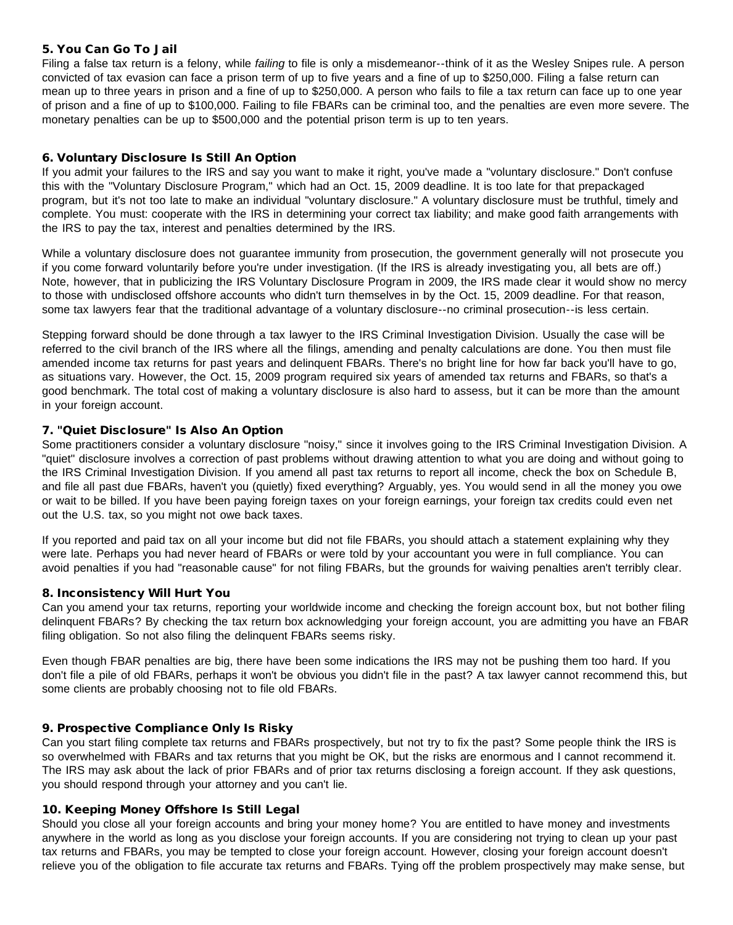# 5. You Can Go To Jail

Filing a false tax return is a felony, while *failing* to file is only a misdemeanor--think of it as the Wesley Snipes rule. A person convicted of tax evasion can face a prison term of up to five years and a fine of up to \$250,000. Filing a false return can mean up to three years in prison and a fine of up to \$250,000. A person who fails to file a tax return can face up to one year of prison and a fine of up to \$100,000. Failing to file FBARs can be criminal too, and the penalties are even more severe. The monetary penalties can be up to \$500,000 and the potential prison term is up to ten years.

# 6. Voluntary Disclosure Is Still An Option

If you admit your failures to the IRS and say you want to make it right, you've made a "voluntary disclosure." Don't confuse this with the "Voluntary Disclosure Program," which had an Oct. 15, 2009 deadline. It is too late for that prepackaged program, but it's not too late to make an individual "voluntary disclosure." A voluntary disclosure must be truthful, timely and complete. You must: cooperate with the IRS in determining your correct tax liability; and make good faith arrangements with the IRS to pay the tax, interest and penalties determined by the IRS.

While a voluntary disclosure does not guarantee immunity from prosecution, the government generally will not prosecute you if you come forward voluntarily before you're under investigation. (If the IRS is already investigating you, all bets are off.) Note, however, that in publicizing the IRS Voluntary Disclosure Program in 2009, the IRS made clear it would show no mercy to those with undisclosed offshore accounts who didn't turn themselves in by the Oct. 15, 2009 deadline. For that reason, some tax lawyers fear that the traditional advantage of a voluntary disclosure--no criminal prosecution--is less certain.

Stepping forward should be done through a tax lawyer to the IRS Criminal Investigation Division. Usually the case will be referred to the civil branch of the IRS where all the filings, amending and penalty calculations are done. You then must file amended income tax returns for past years and delinquent FBARs. There's no bright line for how far back you'll have to go, as situations vary. However, the Oct. 15, 2009 program required six years of amended tax returns and FBARs, so that's a good benchmark. The total cost of making a voluntary disclosure is also hard to assess, but it can be more than the amount in your foreign account.

# 7. "Quiet Disclosure" Is Also An Option

Some practitioners consider a voluntary disclosure "noisy," since it involves going to the IRS Criminal Investigation Division. A "quiet" disclosure involves a correction of past problems without drawing attention to what you are doing and without going to the IRS Criminal Investigation Division. If you amend all past tax returns to report all income, check the box on Schedule B, and file all past due FBARs, haven't you (quietly) fixed everything? Arguably, yes. You would send in all the money you owe or wait to be billed. If you have been paying foreign taxes on your foreign earnings, your foreign tax credits could even net out the U.S. tax, so you might not owe back taxes.

If you reported and paid tax on all your income but did not file FBARs, you should attach a statement explaining why they were late. Perhaps you had never heard of FBARs or were told by your accountant you were in full compliance. You can avoid penalties if you had "reasonable cause" for not filing FBARs, but the grounds for waiving penalties aren't terribly clear.

# 8. Inconsistency Will Hurt You

Can you amend your tax returns, reporting your worldwide income and checking the foreign account box, but not bother filing delinquent FBARs? By checking the tax return box acknowledging your foreign account, you are admitting you have an FBAR filing obligation. So not also filing the delinquent FBARs seems risky.

Even though FBAR penalties are big, there have been some indications the IRS may not be pushing them too hard. If you don't file a pile of old FBARs, perhaps it won't be obvious you didn't file in the past? A tax lawyer cannot recommend this, but some clients are probably choosing not to file old FBARs.

# 9. Prospective Compliance Only Is Risky

Can you start filing complete tax returns and FBARs prospectively, but not try to fix the past? Some people think the IRS is so overwhelmed with FBARs and tax returns that you might be OK, but the risks are enormous and I cannot recommend it. The IRS may ask about the lack of prior FBARs and of prior tax returns disclosing a foreign account. If they ask questions, you should respond through your attorney and you can't lie.

# 10. Keeping Money Offshore Is Still Legal

Should you close all your foreign accounts and bring your money home? You are entitled to have money and investments anywhere in the world as long as you disclose your foreign accounts. If you are considering not trying to clean up your past tax returns and FBARs, you may be tempted to close your foreign account. However, closing your foreign account doesn't [relieve you of the](http://www.woodporter.com/) obligation to file accurate tax returns and FBARs. Tying off the problem prospectively may make sense, but